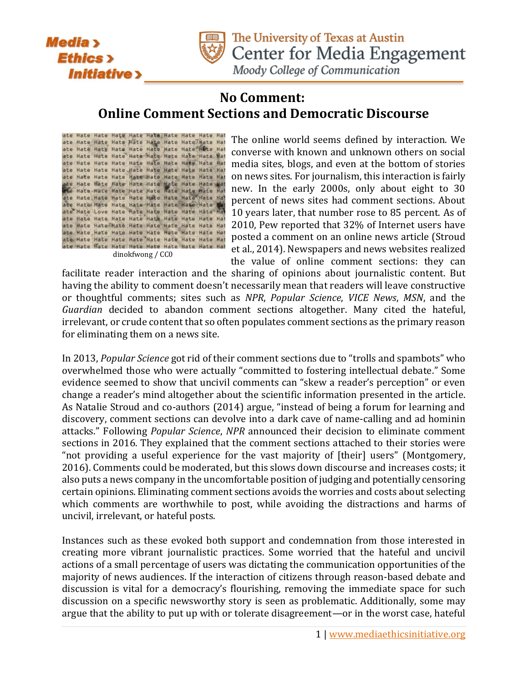



The University of Texas at Austin Center for Media Engagement

Moody College of Communication

## **No Comment: Online Comment Sections and Democratic Discourse**

| dinokfwong / CC0 |  |  |  |  |  |  |  |  |  |
|------------------|--|--|--|--|--|--|--|--|--|
|                  |  |  |  |  |  |  |  |  |  |

The online world seems defined by interaction. We converse with known and unknown others on social media sites, blogs, and even at the bottom of stories on news sites. For journalism, this interaction is fairly new. In the early 2000s, only about eight to 30 percent of news sites had comment sections. About 10 years later, that number rose to 85 percent. As of 2010, Pew reported that 32% of Internet users have posted a comment on an online news article (Stroud et al., 2014). Newspapers and news websites realized the value of online comment sections: they can

facilitate reader interaction and the sharing of opinions about journalistic content. But having the ability to comment doesn't necessarily mean that readers will leave constructive or thoughtful comments; sites such as *NPR*, *Popular Science*, *VICE News*, *MSN*, and the *Guardian* decided to abandon comment sections altogether. Many cited the hateful, irrelevant, or crude content that so often populates comment sections as the primary reason for eliminating them on a news site.

In 2013, *Popular Science* got rid of their comment sections due to "trolls and spambots" who overwhelmed those who were actually "committed to fostering intellectual debate." Some evidence seemed to show that uncivil comments can "skew a reader's perception" or even change a reader's mind altogether about the scientific information presented in the article. As Natalie Stroud and co-authors (2014) argue, "instead of being a forum for learning and discovery, comment sections can devolve into a dark cave of name-calling and ad hominin attacks." Following *Popular Science*, *NPR* announced their decision to eliminate comment sections in 2016. They explained that the comment sections attached to their stories were "not providing a useful experience for the vast majority of [their] users" (Montgomery, 2016). Comments could be moderated, but this slows down discourse and increases costs; it also puts a news company in the uncomfortable position of judging and potentially censoring certain opinions. Eliminating comment sections avoids the worries and costs about selecting which comments are worthwhile to post, while avoiding the distractions and harms of uncivil, irrelevant, or hateful posts.

Instances such as these evoked both support and condemnation from those interested in creating more vibrant journalistic practices. Some worried that the hateful and uncivil actions of a small percentage of users was dictating the communication opportunities of the majority of news audiences. If the interaction of citizens through reason-based debate and discussion is vital for a democracy's flourishing, removing the immediate space for such discussion on a specific newsworthy story is seen as problematic. Additionally, some may argue that the ability to put up with or tolerate disagreement—or in the worst case, hateful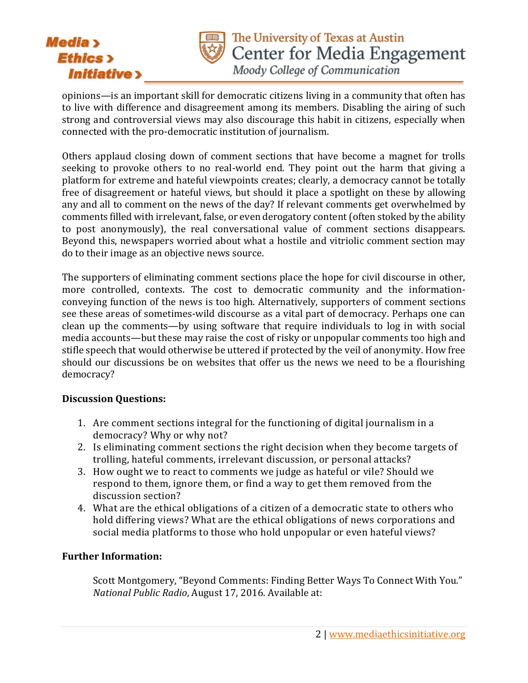



opinions—is an important skill for democratic citizens living in a community that often has to live with difference and disagreement among its members. Disabling the airing of such strong and controversial views may also discourage this habit in citizens, especially when connected with the pro-democratic institution of journalism.

Others applaud closing down of comment sections that have become a magnet for trolls seeking to provoke others to no real-world end. They point out the harm that giving a platform for extreme and hateful viewpoints creates; clearly, a democracy cannot be totally free of disagreement or hateful views, but should it place a spotlight on these by allowing any and all to comment on the news of the day? If relevant comments get overwhelmed by comments filled with irrelevant, false, or even derogatory content(often stoked by the ability to post anonymously), the real conversational value of comment sections disappears. Beyond this, newspapers worried about what a hostile and vitriolic comment section may do to their image as an objective news source.

The supporters of eliminating comment sections place the hope for civil discourse in other, more controlled, contexts. The cost to democratic community and the informationconveying function of the news is too high. Alternatively, supporters of comment sections see these areas of sometimes-wild discourse as a vital part of democracy. Perhaps one can clean up the comments—by using software that require individuals to log in with social media accounts—but these may raise the cost of risky or unpopular comments too high and stifle speech that would otherwise be uttered if protected by the veil of anonymity. How free should our discussions be on websites that offer us the news we need to be a flourishing democracy?

## **Discussion Questions:**

- 1. Are comment sections integral for the functioning of digital journalism in a democracy? Why or why not?
- 2. Is eliminating comment sections the right decision when they become targets of trolling, hateful comments, irrelevant discussion, or personal attacks?
- 3. How ought we to react to comments we judge as hateful or vile? Should we respond to them, ignore them, or find a way to get them removed from the discussion section?
- 4. What are the ethical obligations of a citizen of a democratic state to others who hold differing views? What are the ethical obligations of news corporations and social media platforms to those who hold unpopular or even hateful views?

## **Further Information:**

Scott Montgomery, "Beyond Comments: Finding Better Ways To Connect With You." *National Public Radio*, August 17, 2016. Available at: